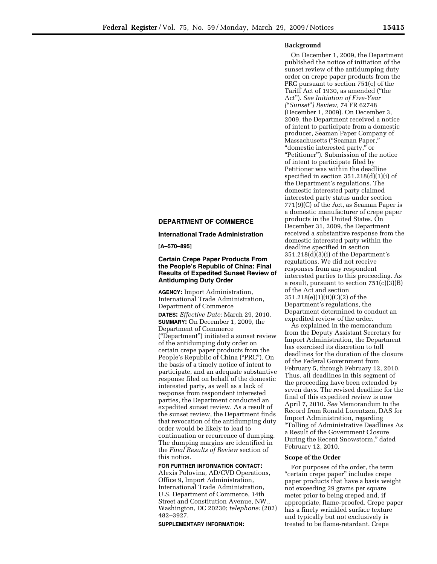### **Background**

On December 1, 2009, the Department published the notice of initiation of the sunset review of the antidumping duty order on crepe paper products from the PRC pursuant to section 751(c) of the Tariff Act of 1930, as amended (''the Act''). *See Initiation of Five-Year (*''*Sunset*''*) Review,* 74 FR 62748 (December 1, 2009). On December 3, 2009, the Department received a notice of intent to participate from a domestic producer, Seaman Paper Company of Massachusetts (''Seaman Paper,'' ''domestic interested party,'' or ''Petitioner''). Submission of the notice of intent to participate filed by Petitioner was within the deadline specified in section 351.218(d)(1)(i) of the Department's regulations. The domestic interested party claimed interested party status under section 771(9)(C) of the Act, as Seaman Paper is a domestic manufacturer of crepe paper products in the United States. On December 31, 2009, the Department received a substantive response from the domestic interested party within the deadline specified in section 351.218(d)(3)(i) of the Department's regulations. We did not receive responses from any respondent interested parties to this proceeding. As a result, pursuant to section 751(c)(3)(B) of the Act and section 351.218(e)(1)(ii)(C)(2) of the Department's regulations, the Department determined to conduct an expedited review of the order.

As explained in the memorandum from the Deputy Assistant Secretary for Import Administration, the Department has exercised its discretion to toll deadlines for the duration of the closure of the Federal Government from February 5, through February 12, 2010. Thus, all deadlines in this segment of the proceeding have been extended by seven days. The revised deadline for the final of this expedited review is now April 7, 2010. *See* Memorandum to the Record from Ronald Lorentzen, DAS for Import Administration, regarding ''Tolling of Administrative Deadlines As a Result of the Government Closure During the Recent Snowstorm,'' dated February 12, 2010.

#### **Scope of the Order**

For purposes of the order, the term "certain crepe paper" includes crepe paper products that have a basis weight not exceeding 29 grams per square meter prior to being creped and, if appropriate, flame-proofed. Crepe paper has a finely wrinkled surface texture and typically but not exclusively is treated to be flame-retardant. Crepe

## **DEPARTMENT OF COMMERCE**

**International Trade Administration** 

**[A–570–895]** 

## **Certain Crepe Paper Products From the People's Republic of China: Final Results of Expedited Sunset Review of Antidumping Duty Order**

**AGENCY:** Import Administration, International Trade Administration, Department of Commerce

**DATES:** *Effective Date:* March 29, 2010. **SUMMARY:** On December 1, 2009, the Department of Commerce (''Department'') initiated a sunset review of the antidumping duty order on certain crepe paper products from the People's Republic of China ("PRC"). On the basis of a timely notice of intent to participate, and an adequate substantive response filed on behalf of the domestic interested party, as well as a lack of response from respondent interested parties, the Department conducted an expedited sunset review. As a result of the sunset review, the Department finds that revocation of the antidumping duty order would be likely to lead to continuation or recurrence of dumping. The dumping margins are identified in the *Final Results of Review* section of this notice.

# **FOR FURTHER INFORMATION CONTACT:**

Alexis Polovina, AD/CVD Operations, Office 9, Import Administration, International Trade Administration, U.S. Department of Commerce, 14th Street and Constitution Avenue, NW., Washington, DC 20230; *telephone:* (202) 482–3927.

**SUPPLEMENTARY INFORMATION:**